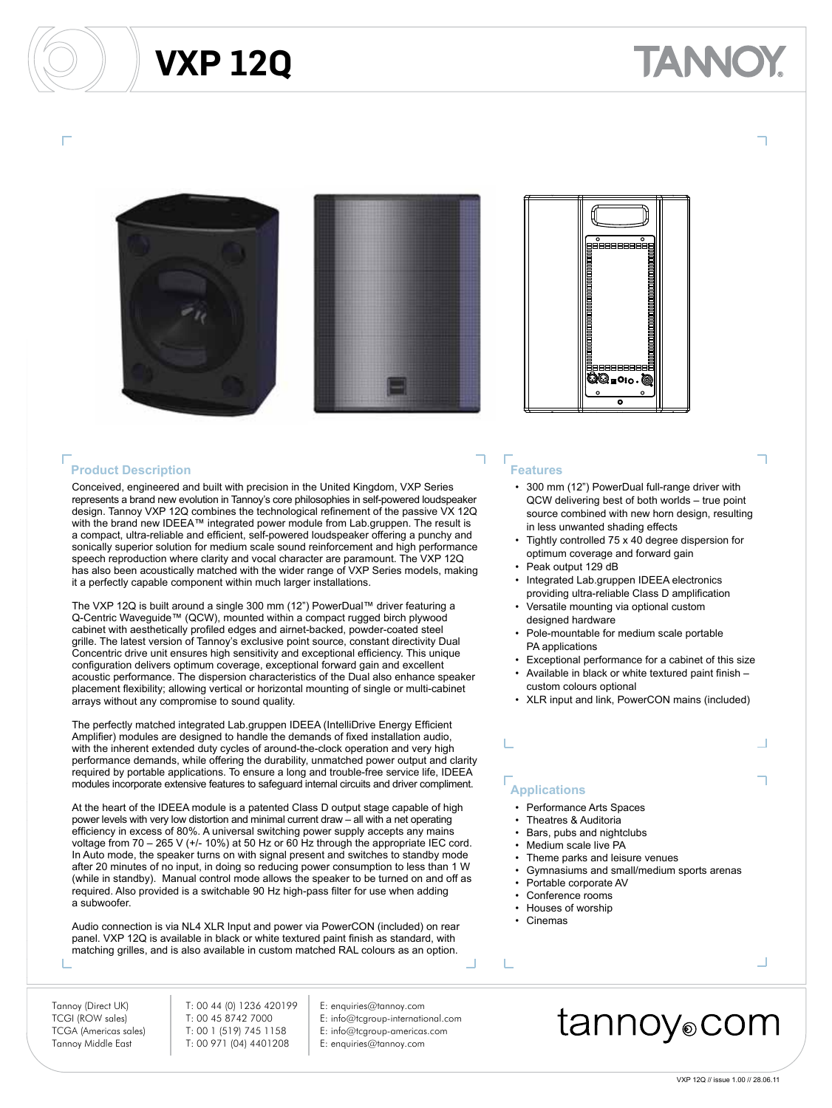## **VXP 12Q**







### **Product Description**

Conceived, engineered and built with precision in the United Kingdom, VXP Series represents a brand new evolution in Tannoy's core philosophies in self-powered loudspeaker design. Tannoy VXP 12Q combines the technological refinement of the passive VX 12Q with the brand new IDEEA™ integrated power module from Lab.gruppen. The result is a compact, ultra-reliable and efficient, self-powered loudspeaker offering a punchy and sonically superior solution for medium scale sound reinforcement and high performance speech reproduction where clarity and vocal character are paramount. The VXP 12Q has also been acoustically matched with the wider range of VXP Series models, making it a perfectly capable component within much larger installations.

The VXP 12Q is built around a single 300 mm (12") PowerDual™ driver featuring a Q-Centric Waveguide™ (QCW), mounted within a compact rugged birch plywood cabinet with aesthetically profiled edges and airnet-backed, powder-coated steel grille. The latest version of Tannoy's exclusive point source, constant directivity Dual Concentric drive unit ensures high sensitivity and exceptional efficiency. This unique configuration delivers optimum coverage, exceptional forward gain and excellent acoustic performance. The dispersion characteristics of the Dual also enhance speaker placement flexibility; allowing vertical or horizontal mounting of single or multi-cabinet arrays without any compromise to sound quality.

The perfectly matched integrated Lab.gruppen IDEEA (IntelliDrive Energy Efficient Amplifier) modules are designed to handle the demands of fixed installation audio, with the inherent extended duty cycles of around-the-clock operation and very high performance demands, while offering the durability, unmatched power output and clarity required by portable applications. To ensure a long and trouble-free service life, IDEEA modules incorporate extensive features to safeguard internal circuits and driver compliment.

At the heart of the IDEEA module is a patented Class D output stage capable of high power levels with very low distortion and minimal current draw – all with a net operating efficiency in excess of 80%. A universal switching power supply accepts any mains voltage from  $70 - 265$  V ( $+/- 10\%$ ) at 50 Hz or 60 Hz through the appropriate IEC cord. In Auto mode, the speaker turns on with signal present and switches to standby mode after 20 minutes of no input, in doing so reducing power consumption to less than 1 W (while in standby). Manual control mode allows the speaker to be turned on and off as required. Also provided is a switchable 90 Hz high-pass filter for use when adding a subwoofer.

Audio connection is via NL4 XLR Input and power via PowerCON (included) on rear panel. VXP 12Q is available in black or white textured paint finish as standard, with matching grilles, and is also available in custom matched RAL colours as an option.

Tannoy (Direct UK) T: 00 44 (0) 1236 420199 E: enquiries@tannoy.com

TCGI (ROW sales) T: 00 45 8742 7000 E: info@tcgroup-international.com TCGA (Americas sales) T: 00 1 (519) 745 1158 E: info@tcgroup-americas.com Tannoy Middle East T: 00 971 (04) 4401208 E: enquiries@tannoy.com

- 
- 
- 

### **Features**

- 300 mm (12") PowerDual full-range driver with QCW delivering best of both worlds – true point source combined with new horn design, resulting in less unwanted shading effects
- Tightly controlled 75 x 40 degree dispersion for optimum coverage and forward gain
- Peak output 129 dB
- Integrated Lab.gruppen IDEEA electronics providing ultra-reliable Class D amplification
- Versatile mounting via optional custom designed hardware
- Pole-mountable for medium scale portable PA applications
- Exceptional performance for a cabinet of this size
- Available in black or white textured paint finish custom colours optional
- XLR input and link, PowerCON mains (included)

### **Applications**

- Performance Arts Spaces
- Theatres & Auditoria
- Bars, pubs and nightclubs
- Medium scale live PA
- Theme parks and leisure venues
- Gymnasiums and small/medium sports arenas
- Portable corporate AV
- Conference rooms
- Houses of worship
- Cinemas

T.

## tannoy⊚com

Ц